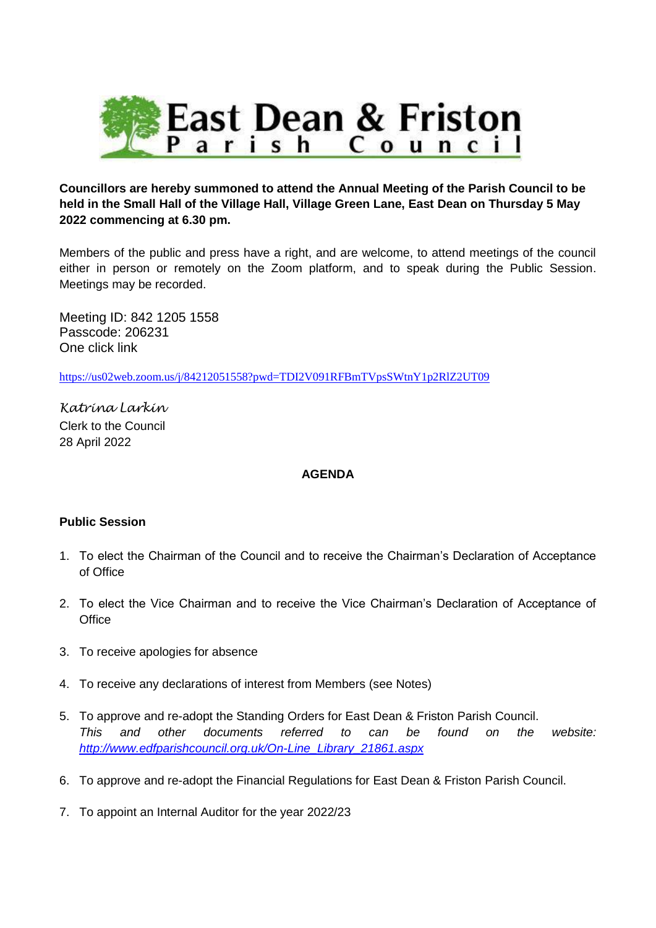

**Councillors are hereby summoned to attend the Annual Meeting of the Parish Council to be held in the Small Hall of the Village Hall, Village Green Lane, East Dean on Thursday 5 May 2022 commencing at 6.30 pm.**

Members of the public and press have a right, and are welcome, to attend meetings of the council either in person or remotely on the Zoom platform, and to speak during the Public Session. Meetings may be recorded.

Meeting ID: 842 1205 1558 Passcode: 206231 One click link

<https://us02web.zoom.us/j/84212051558?pwd=TDI2V091RFBmTVpsSWtnY1p2RlZ2UT09>

*Katrina Larkin* Clerk to the Council 28 April 2022

## **AGENDA**

## **Public Session**

- 1. To elect the Chairman of the Council and to receive the Chairman's Declaration of Acceptance of Office
- 2. To elect the Vice Chairman and to receive the Vice Chairman's Declaration of Acceptance of **Office**
- 3. To receive apologies for absence
- 4. To receive any declarations of interest from Members (see Notes)
- 5. To approve and re-adopt the Standing Orders for East Dean & Friston Parish Council. *This and other documents referred to can be found on the website: [http://www.edfparishcouncil.org.uk/On-Line\\_Library\\_21861.aspx](http://www.edfparishcouncil.org.uk/On-Line_Library_21861.aspx)*
- 6. To approve and re-adopt the Financial Regulations for East Dean & Friston Parish Council.
- 7. To appoint an Internal Auditor for the year 2022/23